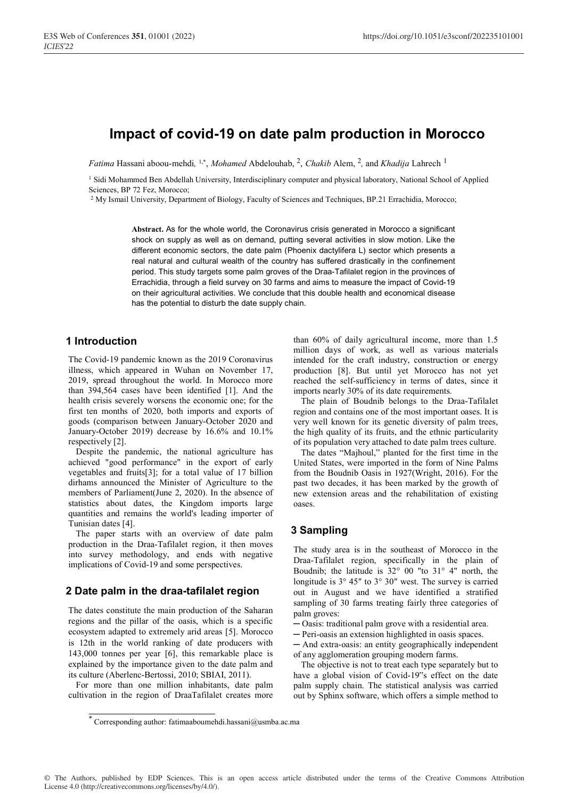# Impact of covid-19 on date palm production in Morocco

*Fatima* Hassani aboou-mehdi, <sup>1,\*</sup>, *Mohamed* Abdelouhab, <sup>2</sup>, *Chakib* Alem, <sup>2</sup>, and *Khadija* Lahrech <sup>1</sup>

<sup>1</sup> Sidi Mohammed Ben Abdellah University, Interdisciplinary computer and physical laboratory, National School of Applied Sciences, BP 72 Fez, Morocco;

2 My Ismail University, Department of Biology, Faculty of Sciences and Techniques, BP.21 Errachidia, Morocco;

Abstract. As for the whole world, the Coronavirus crisis generated in Morocco a significant shock on supply as well as on demand, putting several activities in slow motion. Like the different economic sectors, the date palm (Phoenix dactylifera L) sector which presents a real natural and cultural wealth of the country has suffered drastically in the confinement period. This study targets some palm groves of the Draa-Tafilalet region in the provinces of Errachidia, through a field survey on 30 farms and aims to measure the impact of Covid-19 on their agricultural activities. We conclude that this double health and economical disease has the potential to disturb the date supply chain.

### 1 Introduction

The Covid-19 pandemic known as the 2019 Coronavirus illness, which appeared in Wuhan on November 17, 2019, spread throughout the world. In Morocco more than 394,564 cases have been identified [1]. And the health crisis severely worsens the economic one; for the first ten months of 2020, both imports and exports of goods (comparison between January-October 2020 and January-October 2019) decrease by 16.6% and 10.1% respectively [2].

Despite the pandemic, the national agriculture has achieved "good performance" in the export of early vegetables and fruits[3]; for a total value of 17 billion dirhams announced the Minister of Agriculture to the members of Parliament(June 2, 2020). In the absence of statistics about dates, the Kingdom imports large quantities and remains the world's leading importer of Tunisian dates [4].

The paper starts with an overview of date palm production in the Draa-Tafilalet region, it then moves into survey methodology, and ends with negative implications of Covid-19 and some perspectives.

### 2 Date palm in the draa-tafilalet region

The dates constitute the main production of the Saharan regions and the pillar of the oasis, which is a specific ecosystem adapted to extremely arid areas [5]. Morocco is 12th in the world ranking of date producers with 143,000 tonnes per year [6], this remarkable place is explained by the importance given to the date palm and its culture (Aberlenc-Bertossi, 2010; SBIAI, 2011).

For more than one million inhabitants, date palm cultivation in the region of DraaTafilalet creates more

than 60% of daily agricultural income, more than 1.5 million days of work, as well as various materials intended for the craft industry, construction or energy production [8]. But until yet Morocco has not yet reached the self-sufficiency in terms of dates, since it imports nearly 30% of its date requirements.

The plain of Boudnib belongs to the Draa-Tafilalet region and contains one of the most important oases. It is very well known for its genetic diversity of palm trees, the high quality of its fruits, and the ethnic particularity of its population very attached to date palm trees culture.

The dates "Majhoul," planted for the first time in the United States, were imported in the form of Nine Palms from the Boudnib Oasis in 1927(Wright, 2016). For the past two decades, it has been marked by the growth of new extension areas and the rehabilitation of existing oases.

### 3 Sampling

The study area is in the southeast of Morocco in the Draa-Tafilalet region, specifically in the plain of Boudnib; the latitude is 32° 00 "to 31° 4" north, the longitude is  $3^{\circ}$  45" to  $3^{\circ}$  30" west. The survey is carried out in August and we have identified a stratified sampling of 30 farms treating fairly three categories of palm groves:

- ─ Oasis: traditional palm grove with a residential area.
- ─ Peri-oasis an extension highlighted in oasis spaces.
- ─ And extra-oasis: an entity geographically independent of any agglomeration grouping modern farms.

The objective is not to treat each type separately but to have a global vision of Covid-19"s effect on the date palm supply chain. The statistical analysis was carried out by Sphinx software, which offers a simple method to

<sup>\*</sup> Corresponding author: fatimaaboumehdi.hassani@usmba.ac.ma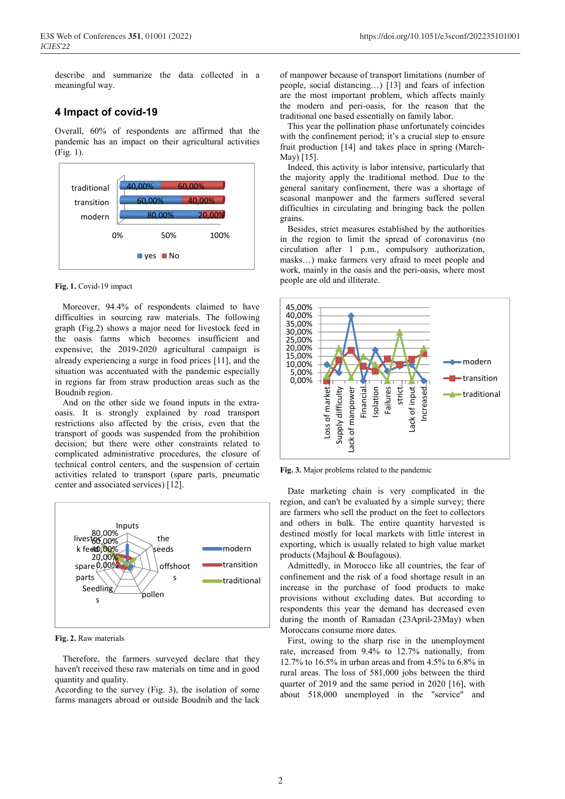describe and summarize the data collected in a meaningful way.

### 4 Impact of covid-19

Overall, 60% of respondents are affirmed that the pandemic has an impact on their agricultural activities (Fig. 1).



#### Fig. 1. Covid-19 impact

Moreover, 94.4% of respondents claimed to have difficulties in sourcing raw materials. The following graph (Fig.2) shows a major need for livestock feed in the oasis farms which becomes insufficient and expensive; the 2019-2020 agricultural campaign is already experiencing a surge in food prices [11], and the situation was accentuated with the pandemic especially in regions far from straw production areas such as the Boudnib region.

And on the other side we found inputs in the extraoasis. It is strongly explained by road transport restrictions also affected by the crisis, even that the transport of goods was suspended from the prohibition decision; but there were other constraints related to complicated administrative procedures, the closure of technical control centers, and the suspension of certain activities related to transport (spare parts, pneumatic center and associated services) [12].



Fig. 2. Raw materials

Therefore, the farmers surveyed declare that they haven't received these raw materials on time and in good quantity and quality.

According to the survey (Fig. 3), the isolation of some farms managers abroad or outside Boudnib and the lack of manpower because of transport limitations (number of people, social distancing…) [13] and fears of infection are the most important problem, which affects mainly the modern and peri-oasis, for the reason that the traditional one based essentially on family labor.

 This year the pollination phase unfortunately coincides with the confinement period; it's a crucial step to ensure fruit production [14] and takes place in spring (March-May) [15].

Indeed, this activity is labor intensive, particularly that the majority apply the traditional method. Due to the general sanitary confinement, there was a shortage of seasonal manpower and the farmers suffered several difficulties in circulating and bringing back the pollen grains.

Besides, strict measures established by the authorities in the region to limit the spread of coronavirus (no circulation after 1 p.m., compulsory authorization, masks…) make farmers very afraid to meet people and work, mainly in the oasis and the peri-oasis, where most people are old and illiterate.



Fig. 3. Major problems related to the pandemic

Date marketing chain is very complicated in the region, and can't be evaluated by a simple survey; there are farmers who sell the product on the feet to collectors and others in bulk. The entire quantity harvested is destined mostly for local markets with little interest in exporting, which is usually related to high value market products (Majhoul & Boufagous).

Admittedly, in Morocco like all countries, the fear of confinement and the risk of a food shortage result in an increase in the purchase of food products to make provisions without excluding dates. But according to respondents this year the demand has decreased even during the month of Ramadan (23April-23May) when Moroccans consume more dates.

First, owing to the sharp rise in the unemployment rate, increased from 9.4% to 12.7% nationally, from 12.7% to 16.5% in urban areas and from 4.5% to 6.8% in rural areas. The loss of 581,000 jobs between the third quarter of 2019 and the same period in 2020 [16], with about 518,000 unemployed in the "service" and